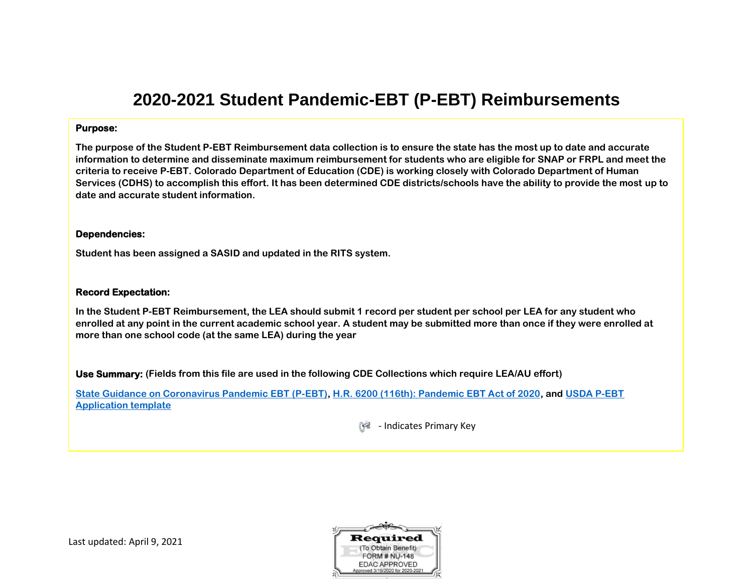# **2020-2021 Student Pandemic-EBT (P-EBT) Reimbursements**

#### **Purpose:**

**The purpose of the Student P-EBT Reimbursement data collection is to ensure the state has the most up to date and accurate information to determine and disseminate maximum reimbursement for students who are eligible for SNAP or FRPL and meet the criteria to receive P-EBT. Colorado Department of Education (CDE) is working closely with Colorado Department of Human Services (CDHS) to accomplish this effort. It has been determined CDE districts/schools have the ability to provide the most up to date and accurate student information.**

#### **Dependencies:**

**Student has been assigned a SASID and updated in the RITS system.**

#### **Record Expectation:**

**In the Student P-EBT Reimbursement, the LEA should submit 1 record per student per school per LEA for any student who enrolled at any point in the current academic school year. A student may be submitted more than once if they were enrolled at more than one school code (at the same LEA) during the year**

**Use Summary: (Fields from this file are used in the following CDE Collections which require LEA/AU effort)**

**[State Guidance on Coronavirus Pandemic EBT \(P-EBT\),](https://www.fns.usda.gov/snap/state-guidance-coronavirus-pandemic-ebt-pebt) [H.R. 6200 \(116th\): Pandemic EBT Act of 2020,](https://www.congress.gov/bill/116th-congress/house-bill/6200/text) and [USDA P-EBT](https://fns-prod.azureedge.net/sites/default/files/resource-files/Pandemic%20EBT%20%E2%80%93%20State%20Plans%20for%202020-2021%20Schools%20and%20Child%20Care%20January%202021%20Attachment%202%20Template.pdf) [Application template](https://fns-prod.azureedge.net/sites/default/files/resource-files/Pandemic%20EBT%20%E2%80%93%20State%20Plans%20for%202020-2021%20Schools%20and%20Child%20Care%20January%202021%20Attachment%202%20Template.pdf)**

- Indicates Primary Key

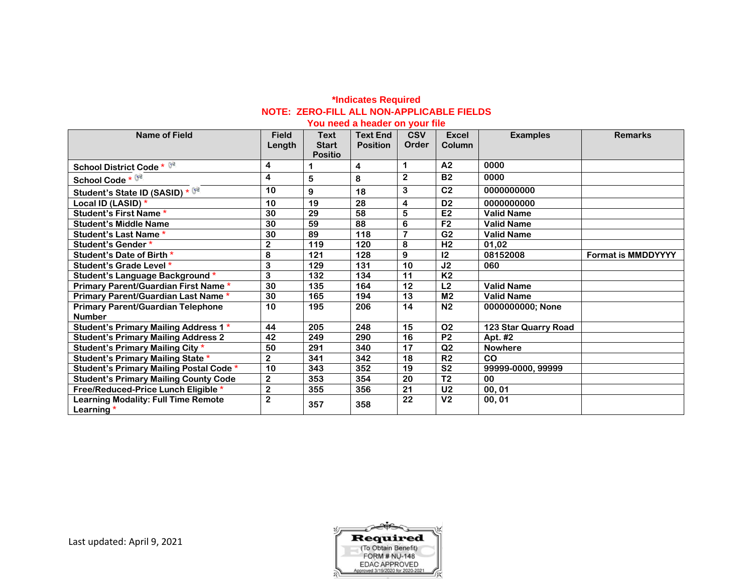# **\*Indicates Required NOTE: ZERO-FILL ALL NON-APPLICABLE FIELDS**

## **You need a header on your file**

| <b>Name of Field</b>                                       | <b>Field</b><br>Length  | <b>Text</b><br><b>Start</b><br><b>Positio</b> | <b>Text End</b><br><b>Position</b> | <b>CSV</b><br>Order | <b>Excel</b><br>Column | <b>Examples</b>      | <b>Remarks</b>            |
|------------------------------------------------------------|-------------------------|-----------------------------------------------|------------------------------------|---------------------|------------------------|----------------------|---------------------------|
| <b>School District Code * 82</b>                           | 4                       |                                               | 4                                  | 1                   | A <sub>2</sub>         | 0000                 |                           |
| School Code * 8                                            | 4                       | 5                                             | 8                                  | $\overline{2}$      | <b>B2</b>              | 0000                 |                           |
| Student's State ID (SASID) * 8                             | 10                      | 9                                             | 18                                 | 3                   | C <sub>2</sub>         | 0000000000           |                           |
| Local ID (LASID) *                                         | 10                      | 19                                            | 28                                 | 4                   | D <sub>2</sub>         | 0000000000           |                           |
| Student's First Name *                                     | 30                      | 29                                            | 58                                 | 5                   | E <sub>2</sub>         | <b>Valid Name</b>    |                           |
| <b>Student's Middle Name</b>                               | 30                      | 59                                            | 88                                 | 6                   | F <sub>2</sub>         | <b>Valid Name</b>    |                           |
| <b>Student's Last Name *</b>                               | 30                      | 89                                            | 118                                | $\overline{7}$      | $\overline{G2}$        | <b>Valid Name</b>    |                           |
| Student's Gender*                                          | $\mathbf{2}$            | 119                                           | 120                                | 8                   | H <sub>2</sub>         | 01,02                |                           |
| Student's Date of Birth *                                  | 8                       | 121                                           | 128                                | 9                   | 12                     | 08152008             | <b>Format is MMDDYYYY</b> |
| Student's Grade Level *                                    | 3                       | 129                                           | 131                                | 10                  | J <sub>2</sub>         | 060                  |                           |
| Student's Language Background*                             | 3                       | 132                                           | 134                                | 11                  | <b>K2</b>              |                      |                           |
| Primary Parent/Guardian First Name*                        | 30                      | 135                                           | 164                                | 12                  | L2                     | <b>Valid Name</b>    |                           |
| Primary Parent/Guardian Last Name *                        | 30                      | 165                                           | 194                                | 13                  | M <sub>2</sub>         | <b>Valid Name</b>    |                           |
| <b>Primary Parent/Guardian Telephone</b><br><b>Number</b>  | 10                      | 195                                           | 206                                | 14                  | N <sub>2</sub>         | 0000000000; None     |                           |
| Student's Primary Mailing Address 1*                       | 44                      | 205                                           | 248                                | 15                  | <b>O2</b>              | 123 Star Quarry Road |                           |
| <b>Student's Primary Mailing Address 2</b>                 | 42                      | 249                                           | 290                                | 16                  | P <sub>2</sub>         | Apt. #2              |                           |
| Student's Primary Mailing City *                           | 50                      | 291                                           | 340                                | 17                  | Q2                     | <b>Nowhere</b>       |                           |
| <b>Student's Primary Mailing State *</b>                   | $\mathbf 2$             | 341                                           | 342                                | 18                  | R <sub>2</sub>         | <b>CO</b>            |                           |
| Student's Primary Mailing Postal Code *                    | 10                      | 343                                           | 352                                | 19                  | S <sub>2</sub>         | 99999-0000, 99999    |                           |
| <b>Student's Primary Mailing County Code</b>               | $\mathbf{2}$            | 353                                           | 354                                | 20                  | $\overline{12}$        | 0 <sub>0</sub>       |                           |
| Free/Reduced-Price Lunch Eligible *                        | $\overline{\mathbf{2}}$ | 355                                           | 356                                | 21                  | U <sub>2</sub>         | 00,01                |                           |
| <b>Learning Modality: Full Time Remote</b><br>Learning $*$ | $\overline{\mathbf{2}}$ | 357                                           | 358                                | 22                  | V <sub>2</sub>         | 00, 01               |                           |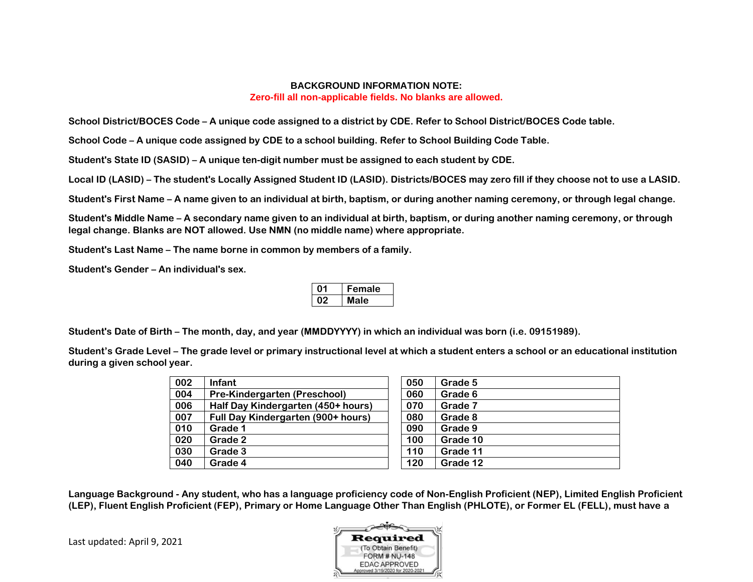## **BACKGROUND INFORMATION NOTE: Zero-fill all non-applicable fields. No blanks are allowed.**

**School District/BOCES Code – A unique code assigned to a district by CDE. Refer to School District/BOCES Code table.** 

**School Code – A unique code assigned by CDE to a school building. Refer to School Building Code Table.**

**Student's State ID (SASID) – A unique ten-digit number must be assigned to each student by CDE.**

**Local ID (LASID) – The student's Locally Assigned Student ID (LASID). Districts/BOCES may zero fill if they choose not to use a LASID.**

**Student's First Name – A name given to an individual at birth, baptism, or during another naming ceremony, or through legal change.**

**Student's Middle Name – A secondary name given to an individual at birth, baptism, or during another naming ceremony, or through legal change. Blanks are NOT allowed. Use NMN (no middle name) where appropriate.**

**Student's Last Name – The name borne in common by members of a family.** 

**Student's Gender – An individual's sex.**

| ⊦emale |
|--------|
| lale   |

**Student's Date of Birth – The month, day, and year (MMDDYYYY) in which an individual was born (i.e. 09151989).**

**Student's Grade Level – The grade level or primary instructional level at which a student enters a school or an educational institution during a given school year.**

| <b>Infant</b>                      | 050 | Grade 5  |
|------------------------------------|-----|----------|
| Pre-Kindergarten (Preschool)       | 060 | Grade 6  |
| Half Day Kindergarten (450+ hours) | 070 | Grade 7  |
| Full Day Kindergarten (900+ hours) | 080 | Grade 8  |
| Grade 1                            | 090 | Grade 9  |
| Grade 2                            | 100 | Grade 10 |
| Grade 3                            | 110 | Grade 11 |
| Grade 4                            | 120 | Grade 12 |
|                                    |     |          |

| 050 | Grade 5  |
|-----|----------|
| 060 | Grade 6  |
| 070 | Grade 7  |
| 080 | Grade 8  |
| 090 | Grade 9  |
| 100 | Grade 10 |
| 110 | Grade 11 |
| 120 | Grade 12 |

**Language Background - Any student, who has a language proficiency code of Non-English Proficient (NEP), Limited English Proficient (LEP), Fluent English Proficient (FEP), Primary or Home Language Other Than English (PHLOTE), or Former EL (FELL), must have a**

Last updated: April 9, 2021